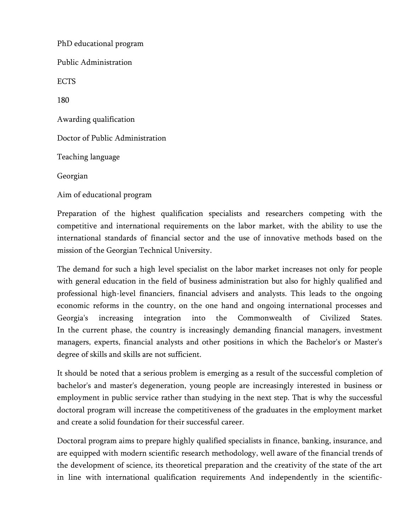PhD educational program Public Administration ECTS 180 Awarding qualification Doctor of Public Administration Teaching language Georgian Aim of educational program

Preparation of the highest qualification specialists and researchers competing with the competitive and international requirements on the labor market, with the ability to use the international standards of financial sector and the use of innovative methods based on the mission of the Georgian Technical University.

The demand for such a high level specialist on the labor market increases not only for people with general education in the field of business administration but also for highly qualified and professional high-level financiers, financial advisers and analysts. This leads to the ongoing economic reforms in the country, on the one hand and ongoing international processes and Georgia's increasing integration into the Commonwealth of Civilized States. In the current phase, the country is increasingly demanding financial managers, investment managers, experts, financial analysts and other positions in which the Bachelor's or Master's degree of skills and skills are not sufficient.

It should be noted that a serious problem is emerging as a result of the successful completion of bachelor's and master's degeneration, young people are increasingly interested in business or employment in public service rather than studying in the next step. That is why the successful doctoral program will increase the competitiveness of the graduates in the employment market and create a solid foundation for their successful career.

Doctoral program aims to prepare highly qualified specialists in finance, banking, insurance, and are equipped with modern scientific research methodology, well aware of the financial trends of the development of science, its theoretical preparation and the creativity of the state of the art in line with international qualification requirements And independently in the scientific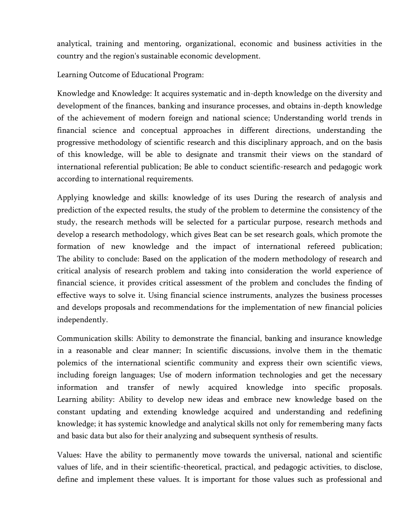analytical, training and mentoring, organizational, economic and business activities in the country and the region's sustainable economic development.

Learning Outcome of Educational Program:

Knowledge and Knowledge: It acquires systematic and in-depth knowledge on the diversity and development of the finances, banking and insurance processes, and obtains in-depth knowledge of the achievement of modern foreign and national science; Understanding world trends in financial science and conceptual approaches in different directions, understanding the progressive methodology of scientific research and this disciplinary approach, and on the basis of this knowledge, will be able to designate and transmit their views on the standard of international referential publication; Be able to conduct scientific-research and pedagogic work according to international requirements.

Applying knowledge and skills: knowledge of its uses During the research of analysis and prediction of the expected results, the study of the problem to determine the consistency of the study, the research methods will be selected for a particular purpose, research methods and develop a research methodology, which gives Beat can be set research goals, which promote the formation of new knowledge and the impact of international refereed publication; The ability to conclude: Based on the application of the modern methodology of research and critical analysis of research problem and taking into consideration the world experience of financial science, it provides critical assessment of the problem and concludes the finding of effective ways to solve it. Using financial science instruments, analyzes the business processes and develops proposals and recommendations for the implementation of new financial policies independently.

Communication skills: Ability to demonstrate the financial, banking and insurance knowledge in a reasonable and clear manner; In scientific discussions, involve them in the thematic polemics of the international scientific community and express their own scientific views, including foreign languages; Use of modern information technologies and get the necessary information and transfer of newly acquired knowledge into specific proposals. Learning ability: Ability to develop new ideas and embrace new knowledge based on the constant updating and extending knowledge acquired and understanding and redefining knowledge; it has systemic knowledge and analytical skills not only for remembering many facts and basic data but also for their analyzing and subsequent synthesis of results.

Values: Have the ability to permanently move towards the universal, national and scientific values of life, and in their scientific-theoretical, practical, and pedagogic activities, to disclose, define and implement these values. It is important for those values such as professional and